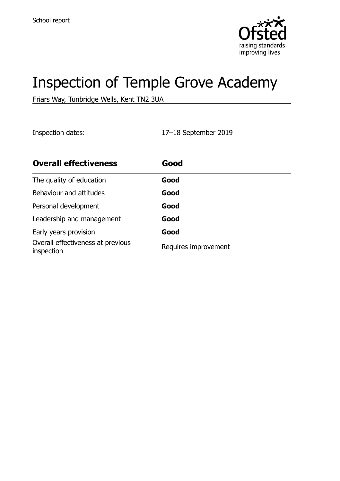

# Inspection of Temple Grove Academy

Friars Way, Tunbridge Wells, Kent TN2 3UA

Inspection dates: 17–18 September 2019

| <b>Overall effectiveness</b>                    | Good                 |
|-------------------------------------------------|----------------------|
| The quality of education                        | Good                 |
| Behaviour and attitudes                         | Good                 |
| Personal development                            | Good                 |
| Leadership and management                       | Good                 |
| Early years provision                           | Good                 |
| Overall effectiveness at previous<br>inspection | Requires improvement |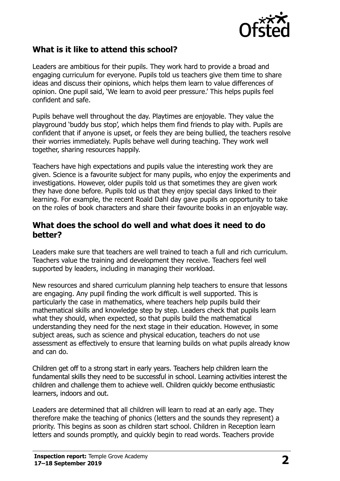

## **What is it like to attend this school?**

Leaders are ambitious for their pupils. They work hard to provide a broad and engaging curriculum for everyone. Pupils told us teachers give them time to share ideas and discuss their opinions, which helps them learn to value differences of opinion. One pupil said, 'We learn to avoid peer pressure.' This helps pupils feel confident and safe.

Pupils behave well throughout the day. Playtimes are enjoyable. They value the playground 'buddy bus stop', which helps them find friends to play with. Pupils are confident that if anyone is upset, or feels they are being bullied, the teachers resolve their worries immediately. Pupils behave well during teaching. They work well together, sharing resources happily.

Teachers have high expectations and pupils value the interesting work they are given. Science is a favourite subject for many pupils, who enjoy the experiments and investigations. However, older pupils told us that sometimes they are given work they have done before. Pupils told us that they enjoy special days linked to their learning. For example, the recent Roald Dahl day gave pupils an opportunity to take on the roles of book characters and share their favourite books in an enjoyable way.

#### **What does the school do well and what does it need to do better?**

Leaders make sure that teachers are well trained to teach a full and rich curriculum. Teachers value the training and development they receive. Teachers feel well supported by leaders, including in managing their workload.

New resources and shared curriculum planning help teachers to ensure that lessons are engaging. Any pupil finding the work difficult is well supported. This is particularly the case in mathematics, where teachers help pupils build their mathematical skills and knowledge step by step. Leaders check that pupils learn what they should, when expected, so that pupils build the mathematical understanding they need for the next stage in their education. However, in some subject areas, such as science and physical education, teachers do not use assessment as effectively to ensure that learning builds on what pupils already know and can do.

Children get off to a strong start in early years. Teachers help children learn the fundamental skills they need to be successful in school. Learning activities interest the children and challenge them to achieve well. Children quickly become enthusiastic learners, indoors and out.

Leaders are determined that all children will learn to read at an early age. They therefore make the teaching of phonics (letters and the sounds they represent) a priority. This begins as soon as children start school. Children in Reception learn letters and sounds promptly, and quickly begin to read words. Teachers provide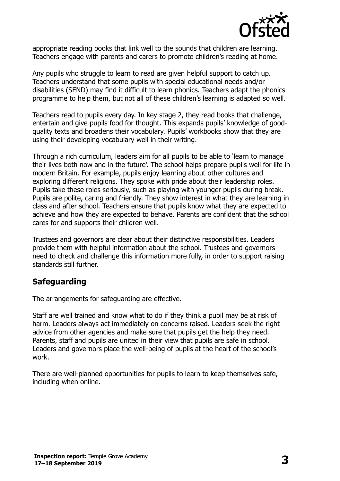

appropriate reading books that link well to the sounds that children are learning. Teachers engage with parents and carers to promote children's reading at home.

Any pupils who struggle to learn to read are given helpful support to catch up. Teachers understand that some pupils with special educational needs and/or disabilities (SEND) may find it difficult to learn phonics. Teachers adapt the phonics programme to help them, but not all of these children's learning is adapted so well.

Teachers read to pupils every day. In key stage 2, they read books that challenge, entertain and give pupils food for thought. This expands pupils' knowledge of goodquality texts and broadens their vocabulary. Pupils' workbooks show that they are using their developing vocabulary well in their writing.

Through a rich curriculum, leaders aim for all pupils to be able to 'learn to manage their lives both now and in the future'. The school helps prepare pupils well for life in modern Britain. For example, pupils enjoy learning about other cultures and exploring different religions. They spoke with pride about their leadership roles. Pupils take these roles seriously, such as playing with younger pupils during break. Pupils are polite, caring and friendly. They show interest in what they are learning in class and after school. Teachers ensure that pupils know what they are expected to achieve and how they are expected to behave. Parents are confident that the school cares for and supports their children well.

Trustees and governors are clear about their distinctive responsibilities. Leaders provide them with helpful information about the school. Trustees and governors need to check and challenge this information more fully, in order to support raising standards still further.

### **Safeguarding**

The arrangements for safeguarding are effective.

Staff are well trained and know what to do if they think a pupil may be at risk of harm. Leaders always act immediately on concerns raised. Leaders seek the right advice from other agencies and make sure that pupils get the help they need. Parents, staff and pupils are united in their view that pupils are safe in school. Leaders and governors place the well-being of pupils at the heart of the school's work.

There are well-planned opportunities for pupils to learn to keep themselves safe, including when online.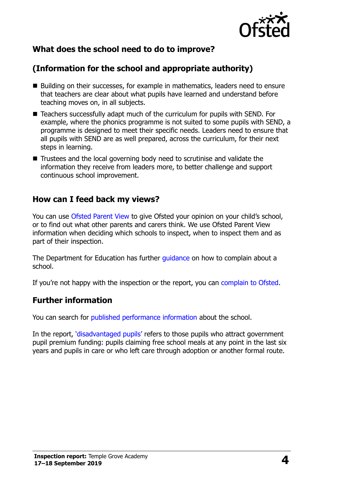

# **What does the school need to do to improve?**

# **(Information for the school and appropriate authority)**

- Building on their successes, for example in mathematics, leaders need to ensure that teachers are clear about what pupils have learned and understand before teaching moves on, in all subjects.
- Teachers successfully adapt much of the curriculum for pupils with SEND. For example, where the phonics programme is not suited to some pupils with SEND, a programme is designed to meet their specific needs. Leaders need to ensure that all pupils with SEND are as well prepared, across the curriculum, for their next steps in learning.
- Trustees and the local governing body need to scrutinise and validate the information they receive from leaders more, to better challenge and support continuous school improvement.

### **How can I feed back my views?**

You can use [Ofsted Parent View](http://parentview.ofsted.gov.uk/) to give Ofsted your opinion on your child's school, or to find out what other parents and carers think. We use Ofsted Parent View information when deciding which schools to inspect, when to inspect them and as part of their inspection.

The Department for Education has further [guidance](http://www.gov.uk/complain-about-school) on how to complain about a school.

If you're not happy with the inspection or the report, you can [complain to Ofsted.](http://www.gov.uk/complain-ofsted-report)

### **Further information**

You can search for [published performance information](http://www.compare-school-performance.service.gov.uk/) about the school.

In the report, '[disadvantaged pupils](http://www.gov.uk/guidance/pupil-premium-information-for-schools-and-alternative-provision-settings)' refers to those pupils who attract government pupil premium funding: pupils claiming free school meals at any point in the last six years and pupils in care or who left care through adoption or another formal route.

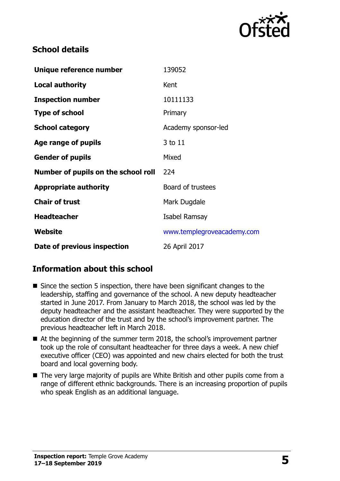

## **School details**

| Unique reference number             | 139052                     |
|-------------------------------------|----------------------------|
| <b>Local authority</b>              | Kent                       |
| <b>Inspection number</b>            | 10111133                   |
| <b>Type of school</b>               | Primary                    |
| <b>School category</b>              | Academy sponsor-led        |
| Age range of pupils                 | 3 to 11                    |
| <b>Gender of pupils</b>             | Mixed                      |
| Number of pupils on the school roll | 224                        |
| <b>Appropriate authority</b>        | Board of trustees          |
| <b>Chair of trust</b>               | Mark Dugdale               |
| <b>Headteacher</b>                  | Isabel Ramsay              |
| <b>Website</b>                      | www.templegroveacademy.com |
| Date of previous inspection         | 26 April 2017              |

## **Information about this school**

- Since the section 5 inspection, there have been significant changes to the leadership, staffing and governance of the school. A new deputy headteacher started in June 2017. From January to March 2018, the school was led by the deputy headteacher and the assistant headteacher. They were supported by the education director of the trust and by the school's improvement partner. The previous headteacher left in March 2018.
- At the beginning of the summer term 2018, the school's improvement partner took up the role of consultant headteacher for three days a week. A new chief executive officer (CEO) was appointed and new chairs elected for both the trust board and local governing body.
- The very large majority of pupils are White British and other pupils come from a range of different ethnic backgrounds. There is an increasing proportion of pupils who speak English as an additional language.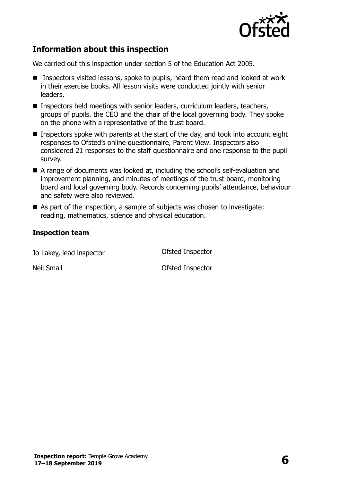

## **Information about this inspection**

We carried out this inspection under section 5 of the Education Act 2005.

- Inspectors visited lessons, spoke to pupils, heard them read and looked at work in their exercise books. All lesson visits were conducted jointly with senior leaders.
- Inspectors held meetings with senior leaders, curriculum leaders, teachers, groups of pupils, the CEO and the chair of the local governing body. They spoke on the phone with a representative of the trust board.
- Inspectors spoke with parents at the start of the day, and took into account eight responses to Ofsted's online questionnaire, Parent View. Inspectors also considered 21 responses to the staff questionnaire and one response to the pupil survey.
- A range of documents was looked at, including the school's self-evaluation and improvement planning, and minutes of meetings of the trust board, monitoring board and local governing body. Records concerning pupils' attendance, behaviour and safety were also reviewed.
- As part of the inspection, a sample of subjects was chosen to investigate: reading, mathematics, science and physical education.

#### **Inspection team**

Jo Lakey, lead inspector Ofsted Inspector

Neil Small **Neil Small Neil Small**